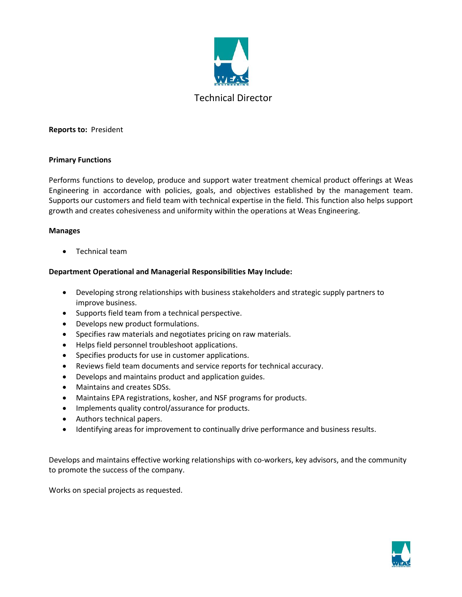

## **Reports to:** President

## **Primary Functions**

Performs functions to develop, produce and support water treatment chemical product offerings at Weas Engineering in accordance with policies, goals, and objectives established by the management team. Supports our customers and field team with technical expertise in the field. This function also helps support growth and creates cohesiveness and uniformity within the operations at Weas Engineering.

## **Manages**

• Technical team

# **Department Operational and Managerial Responsibilities May Include:**

- Developing strong relationships with business stakeholders and strategic supply partners to improve business.
- Supports field team from a technical perspective.
- Develops new product formulations.
- Specifies raw materials and negotiates pricing on raw materials.
- Helps field personnel troubleshoot applications.
- Specifies products for use in customer applications.
- Reviews field team documents and service reports for technical accuracy.
- Develops and maintains product and application guides.
- Maintains and creates SDSs.
- Maintains EPA registrations, kosher, and NSF programs for products.
- Implements quality control/assurance for products.
- Authors technical papers.
- Identifying areas for improvement to continually drive performance and business results.

Develops and maintains effective working relationships with co-workers, key advisors, and the community to promote the success of the company.

Works on special projects as requested.